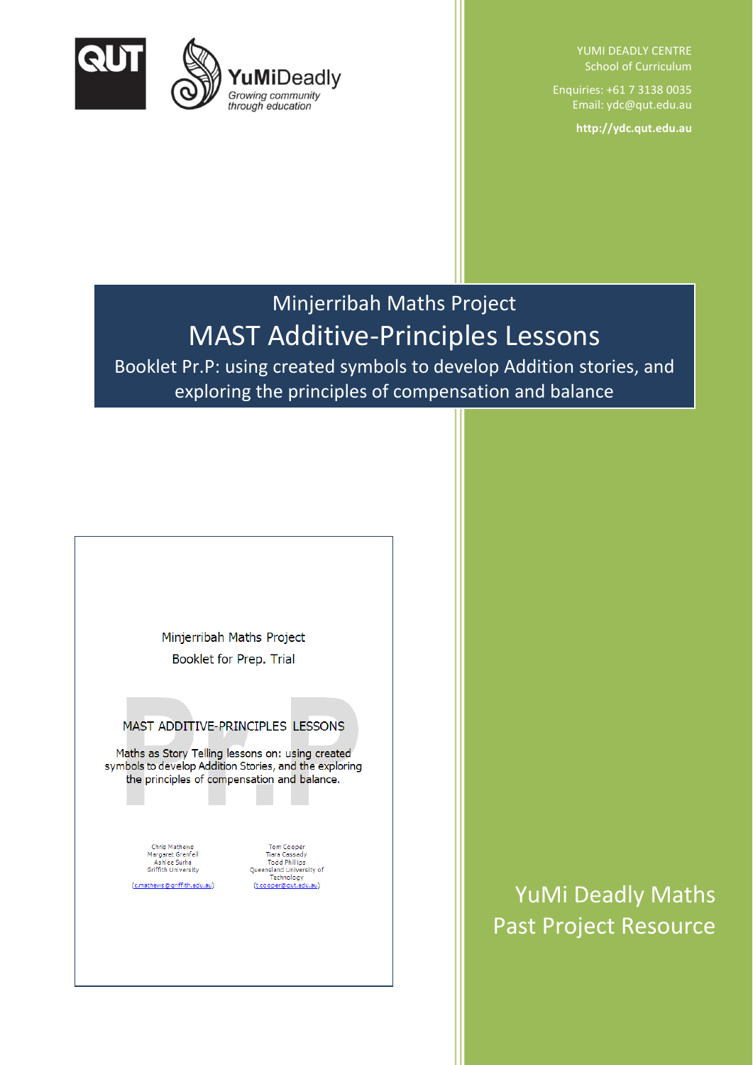

YUMI DEADLY CENTRE School of Curriculum

Enquiries: +61 7 3138 0035 Email: ydc@qut.edu.au

**http://ydc.qut.edu.au**

# Minjerribah Maths Project MAST Additive-Principles Lessons

Booklet Pr.P: using created symbols to develop Addition stories, and exploring the principles of compensation and balance

Minjerribah Maths Project Booklet for Prep. Trial

## MAST ADDITIVE-PRINCIPLES LESSONS

Maths as Story Telling lessons on: using created symbols to develop Addition Stories, and the exploring the principles of compensation and balance.

> Chris Mathews Chris Mathews<br>Margaret Grenfell<br>Ashlee Surha<br>Griffith University (c.mathews@griffith.edu.au)

**Tom Cooper** Tiara Cassady Todd Phillips<br>Todd Phillips<br>Queensland University of<br>Technology<br>(t.cooper@qut.edu.au)

YuMi Deadly Maths Past Project Resource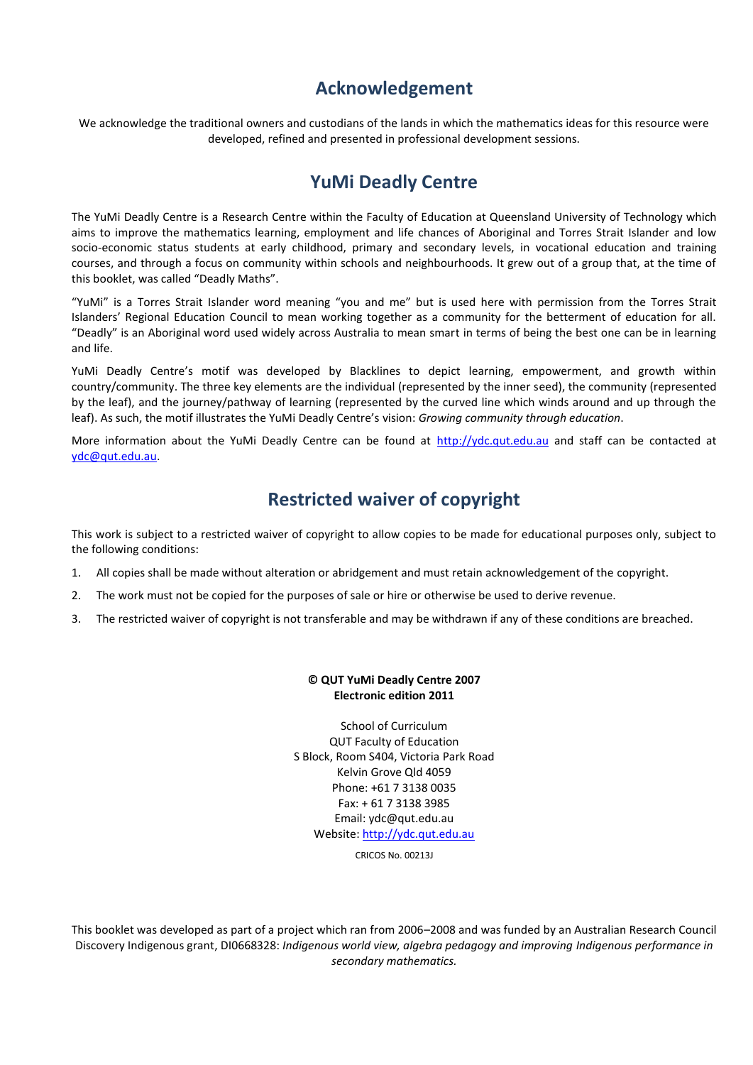# **Acknowledgement**

We acknowledge the traditional owners and custodians of the lands in which the mathematics ideas for this resource were developed, refined and presented in professional development sessions.

# **YuMi Deadly Centre**

The YuMi Deadly Centre is a Research Centre within the Faculty of Education at Queensland University of Technology which aims to improve the mathematics learning, employment and life chances of Aboriginal and Torres Strait Islander and low socio-economic status students at early childhood, primary and secondary levels, in vocational education and training courses, and through a focus on community within schools and neighbourhoods. It grew out of a group that, at the time of this booklet, was called "Deadly Maths".

"YuMi" is a Torres Strait Islander word meaning "you and me" but is used here with permission from the Torres Strait Islanders' Regional Education Council to mean working together as a community for the betterment of education for all. "Deadly" is an Aboriginal word used widely across Australia to mean smart in terms of being the best one can be in learning and life.

YuMi Deadly Centre's motif was developed by Blacklines to depict learning, empowerment, and growth within country/community. The three key elements are the individual (represented by the inner seed), the community (represented by the leaf), and the journey/pathway of learning (represented by the curved line which winds around and up through the leaf). As such, the motif illustrates the YuMi Deadly Centre's vision: *Growing community through education*.

More information about the YuMi Deadly Centre can be found at [http://ydc.qut.edu.au](http://www.ydc.qut.edu.au/) and staff can be contacted at [ydc@qut.edu.au.](mailto:yumideadly@qut.edu.au)

# **Restricted waiver of copyright**

This work is subject to a restricted waiver of copyright to allow copies to be made for educational purposes only, subject to the following conditions:

- 1. All copies shall be made without alteration or abridgement and must retain acknowledgement of the copyright.
- 2. The work must not be copied for the purposes of sale or hire or otherwise be used to derive revenue.
- 3. The restricted waiver of copyright is not transferable and may be withdrawn if any of these conditions are breached.

#### **© QUT YuMi Deadly Centre 2007 Electronic edition 2011**

School of Curriculum QUT Faculty of Education S Block, Room S404, Victoria Park Road Kelvin Grove Qld 4059 Phone: +61 7 3138 0035 Fax: + 61 7 3138 3985 Email: ydc@qut.edu.au Website: [http://ydc.qut.edu.au](http://ydc.qut.edu.au/)

CRICOS No. 00213J

This booklet was developed as part of a project which ran from 2006–2008 and was funded by an Australian Research Council Discovery Indigenous grant, DI0668328: *Indigenous world view, algebra pedagogy and improving Indigenous performance in secondary mathematics.*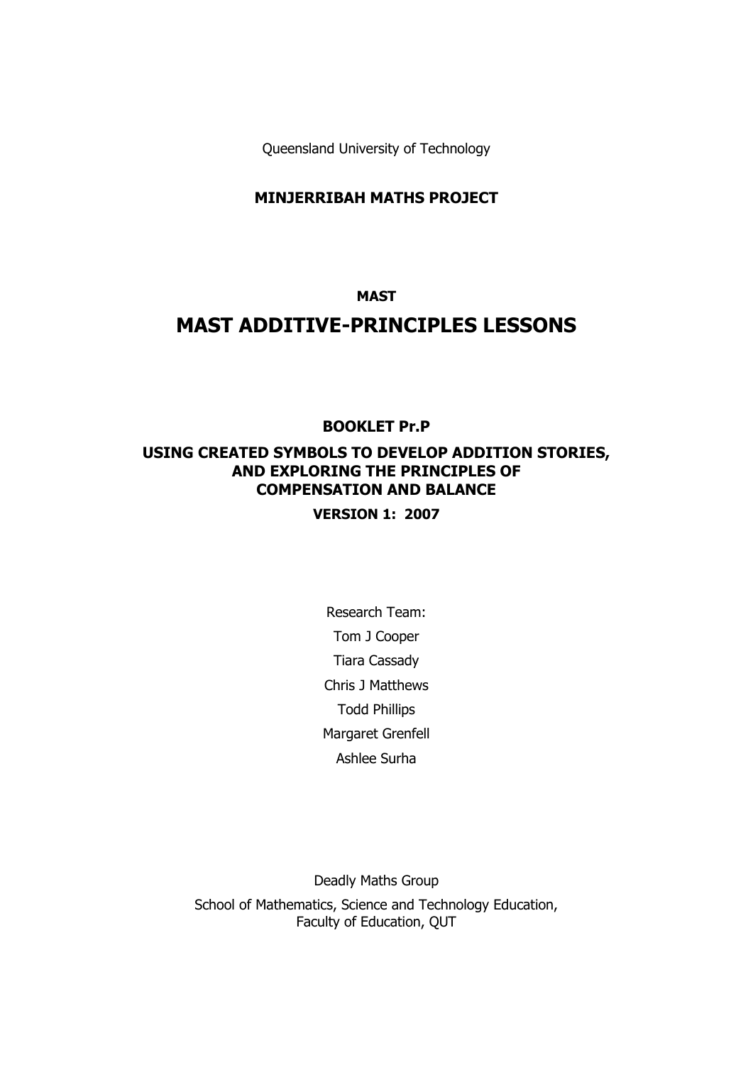Queensland University of Technology

#### **MINJERRIBAH MATHS PROJECT**

#### **MAST**

# **MAST ADDITIVE-PRINCIPLES LESSONS**

## **BOOKLET Pr.P**

## **USING CREATED SYMBOLS TO DEVELOP ADDITION STORIES, AND EXPLORING THE PRINCIPLES OF COMPENSATION AND BALANCE**

### **VERSION 1: 2007**

Research Team: Tom J Cooper Tiara Cassady Chris J Matthews Todd Phillips Margaret Grenfell Ashlee Surha

Deadly Maths Group School of Mathematics, Science and Technology Education, Faculty of Education, QUT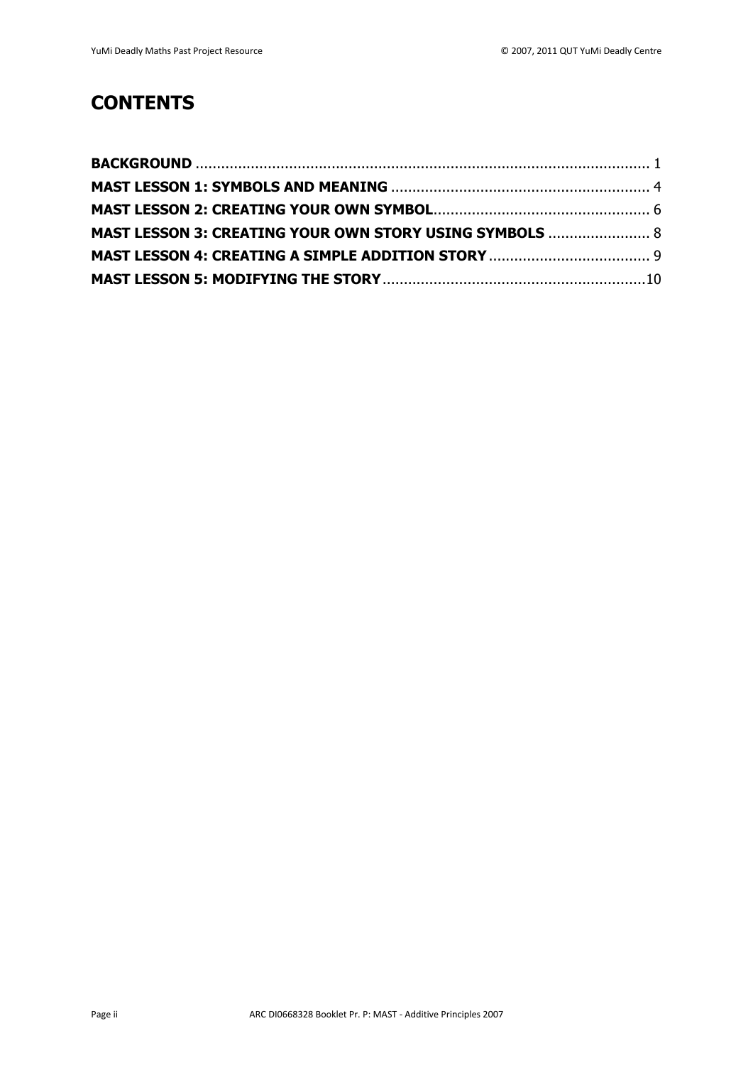# **CONTENTS**

| MAST LESSON 3: CREATING YOUR OWN STORY USING SYMBOLS  8 |  |
|---------------------------------------------------------|--|
|                                                         |  |
|                                                         |  |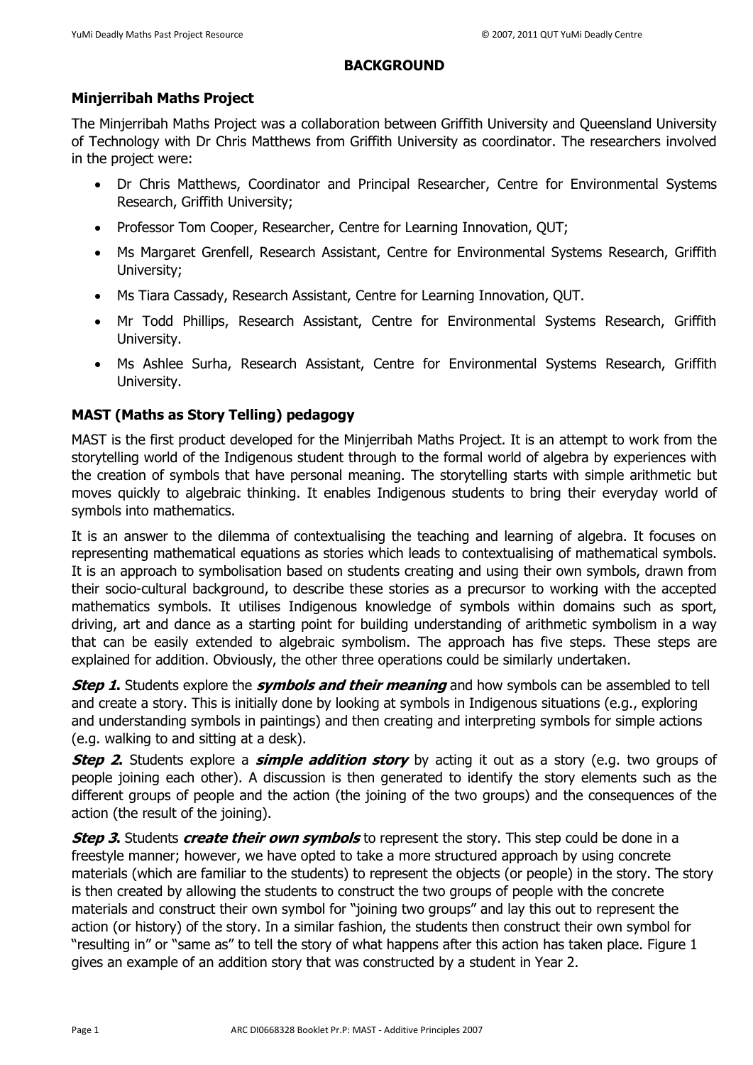## **BACKGROUND**

# <span id="page-4-0"></span>**Minjerribah Maths Project**

The Minjerribah Maths Project was a collaboration between Griffith University and Queensland University of Technology with Dr Chris Matthews from Griffith University as coordinator. The researchers involved in the project were:

- Dr Chris Matthews, Coordinator and Principal Researcher, Centre for Environmental Systems Research, Griffith University;
- Professor Tom Cooper, Researcher, Centre for Learning Innovation, QUT;
- Ms Margaret Grenfell, Research Assistant, Centre for Environmental Systems Research, Griffith University;
- Ms Tiara Cassady, Research Assistant, Centre for Learning Innovation, QUT.
- Mr Todd Phillips, Research Assistant, Centre for Environmental Systems Research, Griffith University.
- Ms Ashlee Surha, Research Assistant, Centre for Environmental Systems Research, Griffith University.

# **MAST (Maths as Story Telling) pedagogy**

MAST is the first product developed for the Minjerribah Maths Project. It is an attempt to work from the storytelling world of the Indigenous student through to the formal world of algebra by experiences with the creation of symbols that have personal meaning. The storytelling starts with simple arithmetic but moves quickly to algebraic thinking. It enables Indigenous students to bring their everyday world of symbols into mathematics.

It is an answer to the dilemma of contextualising the teaching and learning of algebra. It focuses on representing mathematical equations as stories which leads to contextualising of mathematical symbols. It is an approach to symbolisation based on students creating and using their own symbols, drawn from their socio-cultural background, to describe these stories as a precursor to working with the accepted mathematics symbols. It utilises Indigenous knowledge of symbols within domains such as sport, driving, art and dance as a starting point for building understanding of arithmetic symbolism in a way that can be easily extended to algebraic symbolism. The approach has five steps. These steps are explained for addition. Obviously, the other three operations could be similarly undertaken.

**Step 1.** Students explore the **symbols and their meaning** and how symbols can be assembled to tell and create a story. This is initially done by looking at symbols in Indigenous situations (e.g., exploring and understanding symbols in paintings) and then creating and interpreting symbols for simple actions (e.g. walking to and sitting at a desk).

**Step 2.** Students explore a **simple addition story** by acting it out as a story (e.g. two groups of people joining each other). A discussion is then generated to identify the story elements such as the different groups of people and the action (the joining of the two groups) and the consequences of the action (the result of the joining).

**Step 3.** Students **create their own symbols** to represent the story. This step could be done in a freestyle manner; however, we have opted to take a more structured approach by using concrete materials (which are familiar to the students) to represent the objects (or people) in the story. The story is then created by allowing the students to construct the two groups of people with the concrete materials and construct their own symbol for "joining two groups" and lay this out to represent the action (or history) of the story. In a similar fashion, the students then construct their own symbol for "resulting in" or "same as" to tell the story of what happens after this action has taken place. Figure 1 gives an example of an addition story that was constructed by a student in Year 2.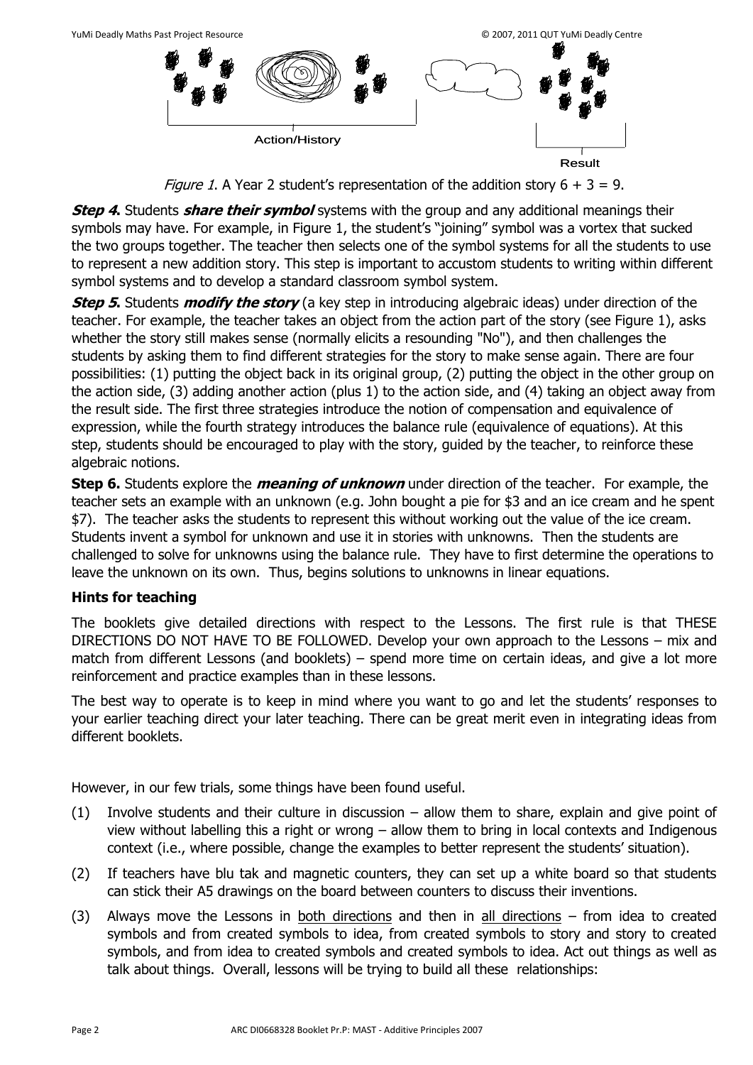*Figure 1*. A Year 2 student's representation of the addition story  $6 + 3 = 9$ .

Result

**Step 4.** Students **share their symbol** systems with the group and any additional meanings their symbols may have. For example, in Figure 1, the student's "joining" symbol was a vortex that sucked the two groups together. The teacher then selects one of the symbol systems for all the students to use to represent a new addition story. This step is important to accustom students to writing within different symbol systems and to develop a standard classroom symbol system.

**Step 5.** Students **modify the story** (a key step in introducing algebraic ideas) under direction of the teacher. For example, the teacher takes an object from the action part of the story (see Figure 1), asks whether the story still makes sense (normally elicits a resounding "No"), and then challenges the students by asking them to find different strategies for the story to make sense again. There are four possibilities: (1) putting the object back in its original group, (2) putting the object in the other group on the action side, (3) adding another action (plus 1) to the action side, and (4) taking an object away from the result side. The first three strategies introduce the notion of compensation and equivalence of expression, while the fourth strategy introduces the balance rule (equivalence of equations). At this step, students should be encouraged to play with the story, guided by the teacher, to reinforce these algebraic notions.

**Step 6.** Students explore the **meaning of unknown** under direction of the teacher. For example, the teacher sets an example with an unknown (e.g. John bought a pie for \$3 and an ice cream and he spent \$7). The teacher asks the students to represent this without working out the value of the ice cream. Students invent a symbol for unknown and use it in stories with unknowns. Then the students are challenged to solve for unknowns using the balance rule. They have to first determine the operations to leave the unknown on its own. Thus, begins solutions to unknowns in linear equations.

# **Hints for teaching**

The booklets give detailed directions with respect to the Lessons. The first rule is that THESE DIRECTIONS DO NOT HAVE TO BE FOLLOWED. Develop your own approach to the Lessons – mix and match from different Lessons (and booklets) – spend more time on certain ideas, and give a lot more reinforcement and practice examples than in these lessons.

The best way to operate is to keep in mind where you want to go and let the students' responses to your earlier teaching direct your later teaching. There can be great merit even in integrating ideas from different booklets.

However, in our few trials, some things have been found useful.

- (1) Involve students and their culture in discussion allow them to share, explain and give point of view without labelling this a right or wrong – allow them to bring in local contexts and Indigenous context (i.e., where possible, change the examples to better represent the students' situation).
- (2) If teachers have blu tak and magnetic counters, they can set up a white board so that students can stick their A5 drawings on the board between counters to discuss their inventions.
- (3) Always move the Lessons in both directions and then in all directions  $-$  from idea to created symbols and from created symbols to idea, from created symbols to story and story to created symbols, and from idea to created symbols and created symbols to idea. Act out things as well as talk about things. Overall, lessons will be trying to build all these relationships: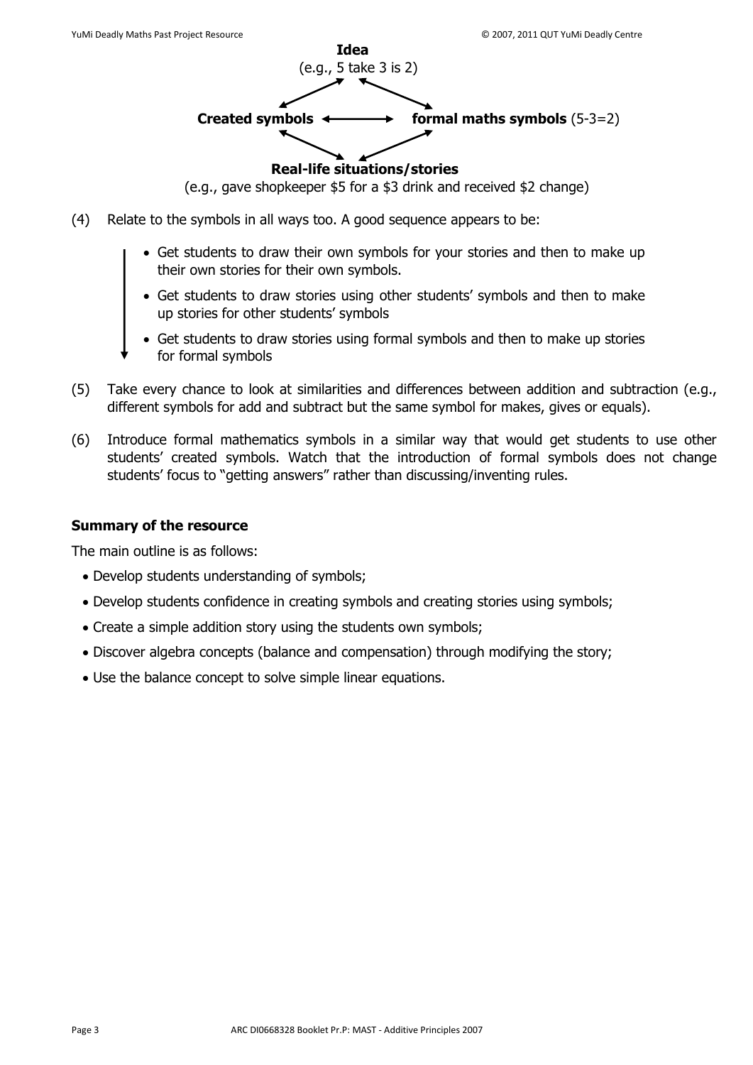

(e.g., gave shopkeeper \$5 for a \$3 drink and received \$2 change)

- (4) Relate to the symbols in all ways too. A good sequence appears to be:
	- Get students to draw their own symbols for your stories and then to make up their own stories for their own symbols.
	- Get students to draw stories using other students' symbols and then to make up stories for other students' symbols
	- Get students to draw stories using formal symbols and then to make up stories for formal symbols
- (5) Take every chance to look at similarities and differences between addition and subtraction (e.g., different symbols for add and subtract but the same symbol for makes, gives or equals).
- (6) Introduce formal mathematics symbols in a similar way that would get students to use other students' created symbols. Watch that the introduction of formal symbols does not change students' focus to "getting answers" rather than discussing/inventing rules.

# **Summary of the resource**

The main outline is as follows:

- Develop students understanding of symbols;
- Develop students confidence in creating symbols and creating stories using symbols;
- Create a simple addition story using the students own symbols;
- Discover algebra concepts (balance and compensation) through modifying the story;
- Use the balance concept to solve simple linear equations.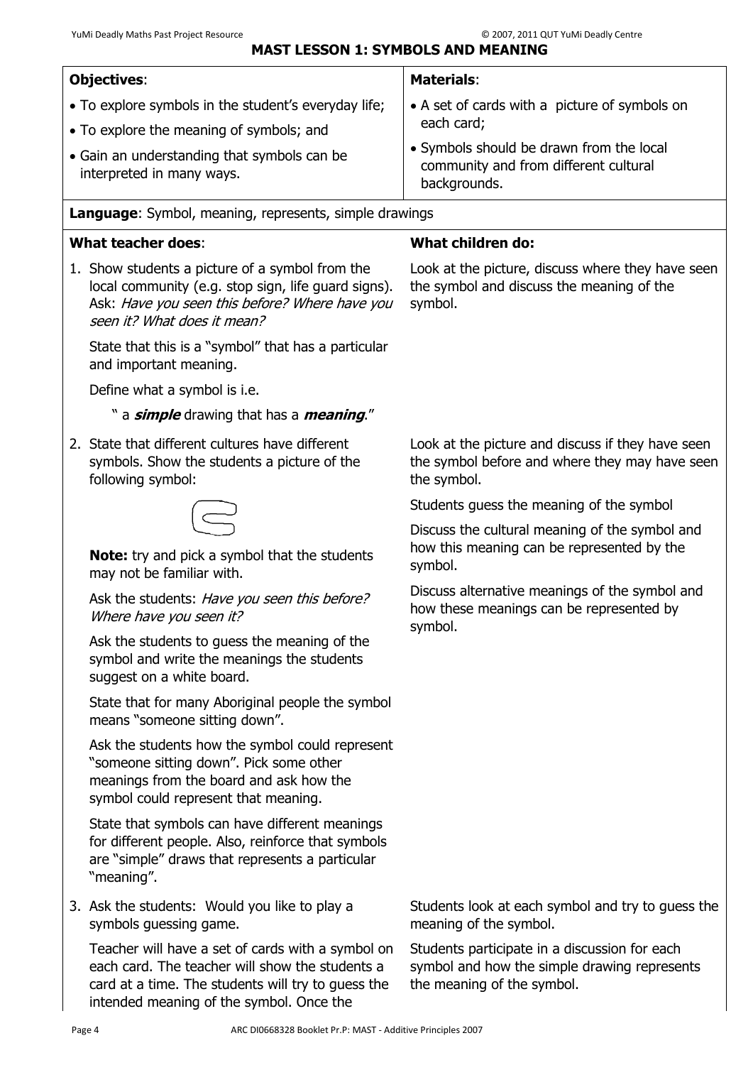<span id="page-7-0"></span>

| <b>Objectives:</b>                                                                                                   | <b>Materials:</b>                                                                                               |
|----------------------------------------------------------------------------------------------------------------------|-----------------------------------------------------------------------------------------------------------------|
| • To explore symbols in the student's everyday life;                                                                 | • A set of cards with a picture of symbols on                                                                   |
| • To explore the meaning of symbols; and<br>• Gain an understanding that symbols can be<br>interpreted in many ways. | each card;<br>• Symbols should be drawn from the local<br>community and from different cultural<br>backgrounds. |

**Language**: Symbol, meaning, represents, simple drawings

## **What teacher does**:

1. Show students a picture of a symbol from the local community (e.g. stop sign, life guard signs). Ask: Have you seen this before? Where have you seen it? What does it mean?

State that this is a "symbol" that has a particular and important meaning.

Define what a symbol is i.e.

#### " a **simple** drawing that has a **meaning**."

2. State that different cultures have different symbols. Show the students a picture of the following symbol:

**Note:** try and pick a symbol that the students may not be familiar with.

Ask the students: Have you seen this before? Where have you seen it?

Ask the students to guess the meaning of the symbol and write the meanings the students suggest on a white board.

State that for many Aboriginal people the symbol means "someone sitting down".

Ask the students how the symbol could represent "someone sitting down". Pick some other meanings from the board and ask how the symbol could represent that meaning.

State that symbols can have different meanings for different people. Also, reinforce that symbols are "simple" draws that represents a particular "meaning".

3. Ask the students: Would you like to play a symbols guessing game.

Teacher will have a set of cards with a symbol on each card. The teacher will show the students a card at a time. The students will try to guess the intended meaning of the symbol. Once the

#### **What children do:**

Look at the picture, discuss where they have seen the symbol and discuss the meaning of the symbol.

Look at the picture and discuss if they have seen the symbol before and where they may have seen the symbol.

Students guess the meaning of the symbol

Discuss the cultural meaning of the symbol and how this meaning can be represented by the symbol.

Discuss alternative meanings of the symbol and how these meanings can be represented by symbol.

Students look at each symbol and try to guess the meaning of the symbol.

Students participate in a discussion for each symbol and how the simple drawing represents the meaning of the symbol.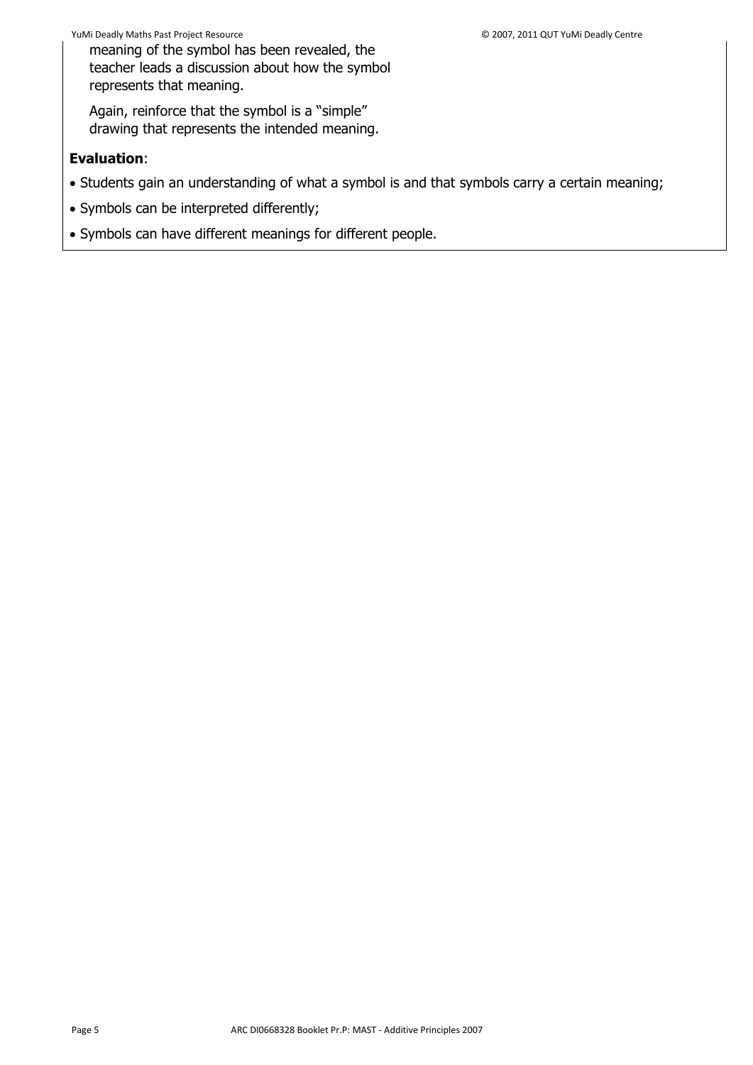meaning of the symbol has been revealed, the teacher leads a discussion about how the symbol represents that meaning.

Again, reinforce that the symbol is a "simple" drawing that represents the intended meaning.

## **Evaluation**:

- Students gain an understanding of what a symbol is and that symbols carry a certain meaning;
- Symbols can be interpreted differently;
- Symbols can have different meanings for different people.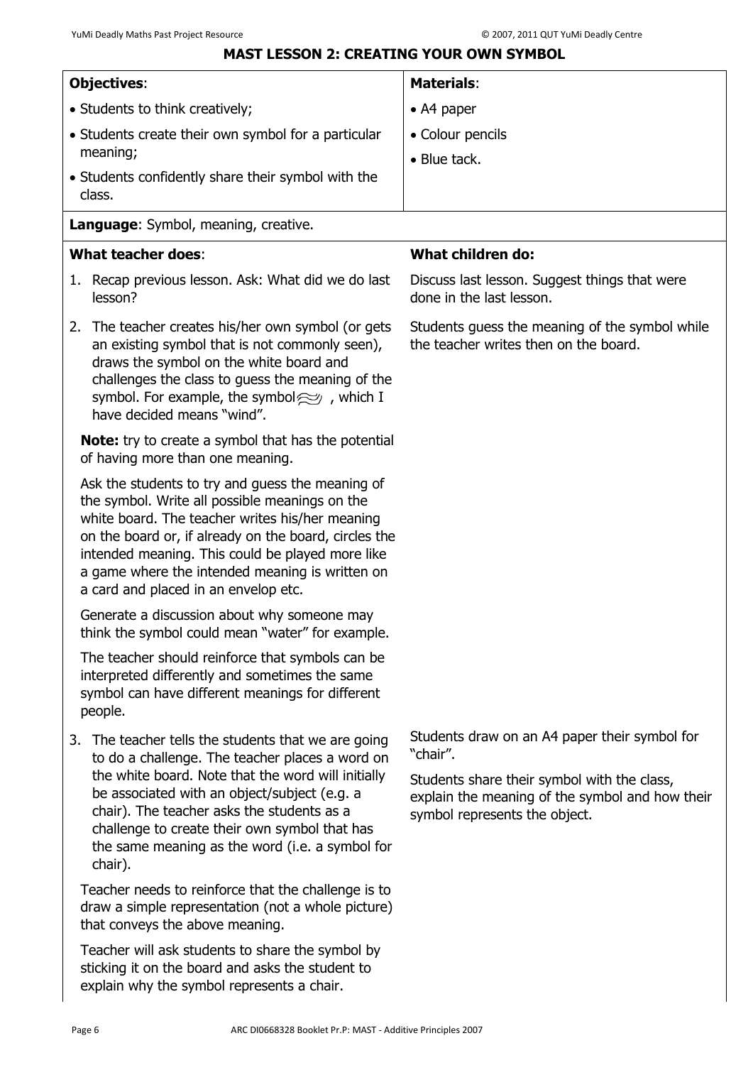# **MAST LESSON 2: CREATING YOUR OWN SYMBOL**

<span id="page-9-0"></span>

| <b>Objectives:</b>                                                                                                                                                                                                                                                                                                                                                        | <b>Materials:</b>                                                                                                                                                                            |
|---------------------------------------------------------------------------------------------------------------------------------------------------------------------------------------------------------------------------------------------------------------------------------------------------------------------------------------------------------------------------|----------------------------------------------------------------------------------------------------------------------------------------------------------------------------------------------|
| • Students to think creatively;                                                                                                                                                                                                                                                                                                                                           | • A4 paper                                                                                                                                                                                   |
| • Students create their own symbol for a particular                                                                                                                                                                                                                                                                                                                       | • Colour pencils                                                                                                                                                                             |
| meaning;                                                                                                                                                                                                                                                                                                                                                                  | • Blue tack.                                                                                                                                                                                 |
| • Students confidently share their symbol with the<br>class.                                                                                                                                                                                                                                                                                                              |                                                                                                                                                                                              |
| Language: Symbol, meaning, creative.                                                                                                                                                                                                                                                                                                                                      |                                                                                                                                                                                              |
| <b>What teacher does:</b>                                                                                                                                                                                                                                                                                                                                                 | <b>What children do:</b>                                                                                                                                                                     |
| 1. Recap previous lesson. Ask: What did we do last<br>lesson?                                                                                                                                                                                                                                                                                                             | Discuss last lesson. Suggest things that were<br>done in the last lesson.                                                                                                                    |
| 2. The teacher creates his/her own symbol (or gets<br>an existing symbol that is not commonly seen),<br>draws the symbol on the white board and<br>challenges the class to guess the meaning of the<br>symbol. For example, the symbol $\approx$ , which I<br>have decided means "wind".                                                                                  | Students guess the meaning of the symbol while<br>the teacher writes then on the board.                                                                                                      |
| <b>Note:</b> try to create a symbol that has the potential<br>of having more than one meaning.                                                                                                                                                                                                                                                                            |                                                                                                                                                                                              |
| Ask the students to try and guess the meaning of<br>the symbol. Write all possible meanings on the<br>white board. The teacher writes his/her meaning<br>on the board or, if already on the board, circles the<br>intended meaning. This could be played more like<br>a game where the intended meaning is written on<br>a card and placed in an envelop etc.             |                                                                                                                                                                                              |
| Generate a discussion about why someone may<br>think the symbol could mean "water" for example.                                                                                                                                                                                                                                                                           |                                                                                                                                                                                              |
| The teacher should reinforce that symbols can be<br>interpreted differently and sometimes the same<br>symbol can have different meanings for different<br>people.                                                                                                                                                                                                         |                                                                                                                                                                                              |
| 3. The teacher tells the students that we are going<br>to do a challenge. The teacher places a word on<br>the white board. Note that the word will initially<br>be associated with an object/subject (e.g. a<br>chair). The teacher asks the students as a<br>challenge to create their own symbol that has<br>the same meaning as the word (i.e. a symbol for<br>chair). | Students draw on an A4 paper their symbol for<br>"chair".<br>Students share their symbol with the class,<br>explain the meaning of the symbol and how their<br>symbol represents the object. |
| Teacher needs to reinforce that the challenge is to<br>draw a simple representation (not a whole picture)<br>that conveys the above meaning.                                                                                                                                                                                                                              |                                                                                                                                                                                              |
| Teacher will ask students to share the symbol by<br>sticking it on the board and asks the student to<br>explain why the symbol represents a chair.                                                                                                                                                                                                                        |                                                                                                                                                                                              |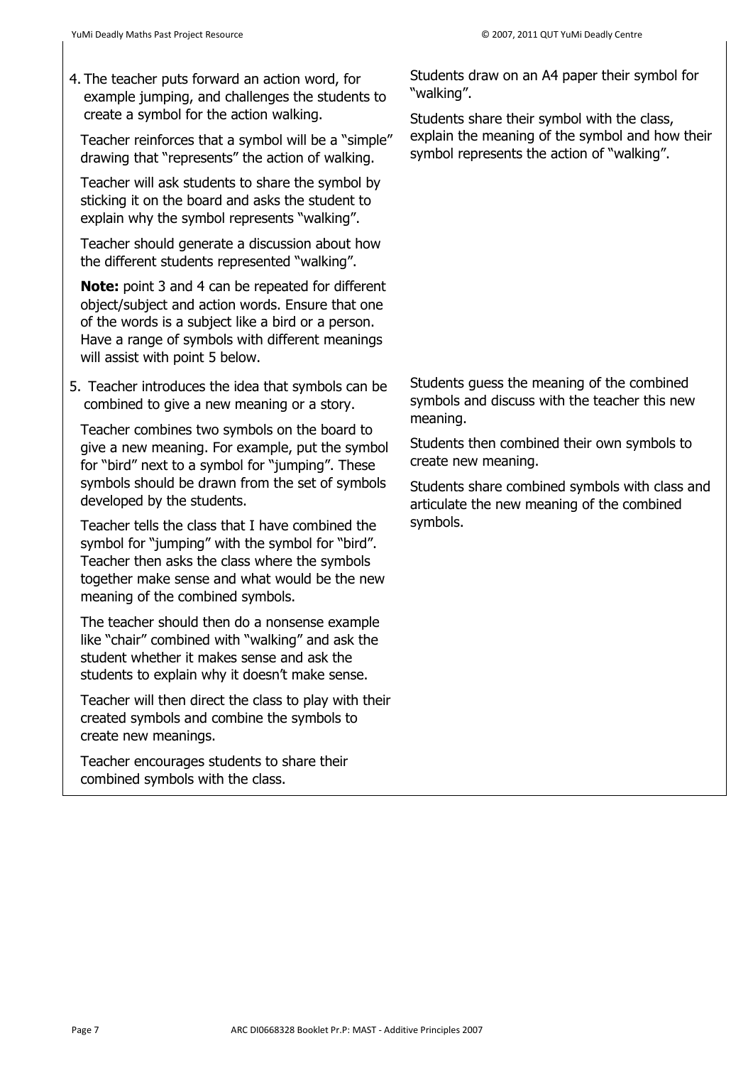4. The teacher puts forward an action word, for example jumping, and challenges the students to create a symbol for the action walking.

Teacher reinforces that a symbol will be a "simple" drawing that "represents" the action of walking.

Teacher will ask students to share the symbol by sticking it on the board and asks the student to explain why the symbol represents "walking".

Teacher should generate a discussion about how the different students represented "walking".

**Note:** point 3 and 4 can be repeated for different object/subject and action words. Ensure that one of the words is a subject like a bird or a person. Have a range of symbols with different meanings will assist with point 5 below.

5. Teacher introduces the idea that symbols can be combined to give a new meaning or a story.

Teacher combines two symbols on the board to give a new meaning. For example, put the symbol for "bird" next to a symbol for "jumping". These symbols should be drawn from the set of symbols developed by the students.

Teacher tells the class that I have combined the symbol for "jumping" with the symbol for "bird". Teacher then asks the class where the symbols together make sense and what would be the new meaning of the combined symbols.

The teacher should then do a nonsense example like "chair" combined with "walking" and ask the student whether it makes sense and ask the students to explain why it doesn't make sense.

Teacher will then direct the class to play with their created symbols and combine the symbols to create new meanings.

Teacher encourages students to share their combined symbols with the class.

Students draw on an A4 paper their symbol for "walking".

Students share their symbol with the class, explain the meaning of the symbol and how their symbol represents the action of "walking".

Students guess the meaning of the combined symbols and discuss with the teacher this new meaning.

Students then combined their own symbols to create new meaning.

Students share combined symbols with class and articulate the new meaning of the combined symbols.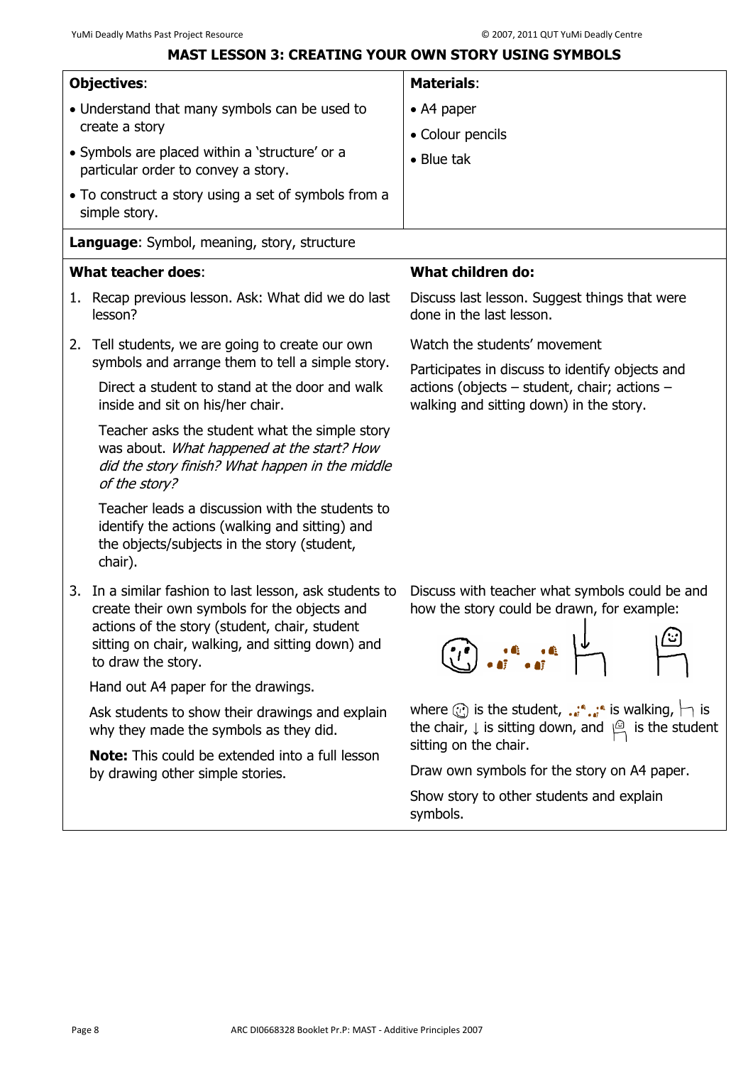# **MAST LESSON 3: CREATING YOUR OWN STORY USING SYMBOLS**

<span id="page-11-0"></span>

| <b>Objectives:</b>                                                                                                                                                                                                                 | <b>Materials:</b>                                                                                                                                                                                           |
|------------------------------------------------------------------------------------------------------------------------------------------------------------------------------------------------------------------------------------|-------------------------------------------------------------------------------------------------------------------------------------------------------------------------------------------------------------|
| • Understand that many symbols can be used to                                                                                                                                                                                      | $\bullet$ A4 paper                                                                                                                                                                                          |
| create a story                                                                                                                                                                                                                     | • Colour pencils                                                                                                                                                                                            |
| • Symbols are placed within a 'structure' or a<br>particular order to convey a story.                                                                                                                                              | $\bullet$ Blue tak                                                                                                                                                                                          |
| • To construct a story using a set of symbols from a<br>simple story.                                                                                                                                                              |                                                                                                                                                                                                             |
| Language: Symbol, meaning, story, structure                                                                                                                                                                                        |                                                                                                                                                                                                             |
| <b>What teacher does:</b>                                                                                                                                                                                                          | <b>What children do:</b>                                                                                                                                                                                    |
| 1. Recap previous lesson. Ask: What did we do last<br>lesson?                                                                                                                                                                      | Discuss last lesson. Suggest things that were<br>done in the last lesson.                                                                                                                                   |
| 2. Tell students, we are going to create our own<br>symbols and arrange them to tell a simple story.                                                                                                                               | Watch the students' movement                                                                                                                                                                                |
| Direct a student to stand at the door and walk<br>inside and sit on his/her chair.                                                                                                                                                 | Participates in discuss to identify objects and<br>actions (objects - student, chair; actions -<br>walking and sitting down) in the story.                                                                  |
| Teacher asks the student what the simple story<br>was about. What happened at the start? How<br>did the story finish? What happen in the middle<br>of the story?                                                                   |                                                                                                                                                                                                             |
| Teacher leads a discussion with the students to<br>identify the actions (walking and sitting) and<br>the objects/subjects in the story (student,<br>chair).                                                                        |                                                                                                                                                                                                             |
| 3. In a similar fashion to last lesson, ask students to<br>create their own symbols for the objects and<br>actions of the story (student, chair, student<br>sitting on chair, walking, and sitting down) and<br>to draw the story. | Discuss with teacher what symbols could be and<br>how the story could be drawn, for example:<br><u>ات'</u>                                                                                                  |
| Hand out A4 paper for the drawings.                                                                                                                                                                                                |                                                                                                                                                                                                             |
| Ask students to show their drawings and explain<br>why they made the symbols as they did.                                                                                                                                          | where $\circled{c}$ is the student, $\cdot \cdot \cdot$ is walking, $\vdash$ is<br>the chair, $\downarrow$ is sitting down, and $\stackrel{\text{(a)}}{\leftarrow}$ is the student<br>sitting on the chair. |
| <b>Note:</b> This could be extended into a full lesson<br>by drawing other simple stories.                                                                                                                                         | Draw own symbols for the story on A4 paper.                                                                                                                                                                 |
|                                                                                                                                                                                                                                    | Show story to other students and explain<br>symbols.                                                                                                                                                        |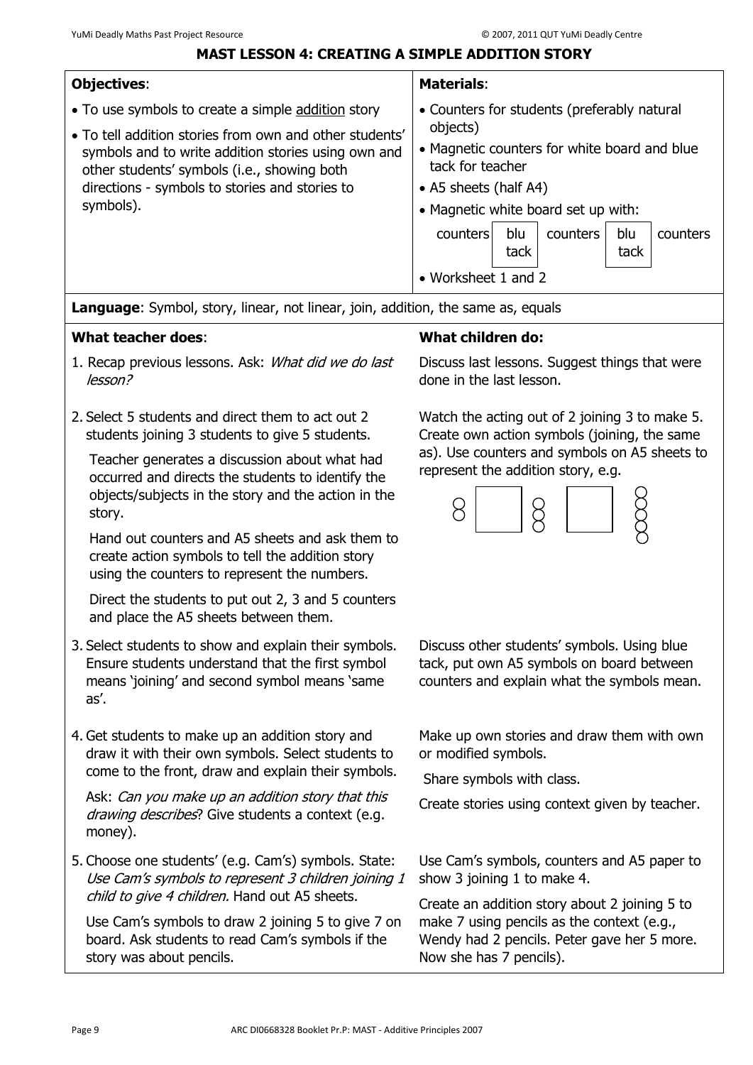#### **MAST LESSON 4: CREATING A SIMPLE ADDITION STORY**

<span id="page-12-0"></span>

| <b>Objectives:</b>                                                                                                                                                                                                           | <b>Materials:</b>                                                                                                                                                                                                                     |
|------------------------------------------------------------------------------------------------------------------------------------------------------------------------------------------------------------------------------|---------------------------------------------------------------------------------------------------------------------------------------------------------------------------------------------------------------------------------------|
| • To use symbols to create a simple addition story                                                                                                                                                                           | • Counters for students (preferably natural                                                                                                                                                                                           |
| • To tell addition stories from own and other students'<br>symbols and to write addition stories using own and<br>other students' symbols (i.e., showing both<br>directions - symbols to stories and stories to<br>symbols). | objects)<br>• Magnetic counters for white board and blue<br>tack for teacher<br>• A5 sheets (half A4)<br>• Magnetic white board set up with:<br>blu<br>blu<br>counters<br>counters<br>counters<br>tack<br>tack<br>• Worksheet 1 and 2 |

**Language**: Symbol, story, linear, not linear, join, addition, the same as, equals

#### **What teacher does**:

- 1. Recap previous lessons. Ask: What did we do last lesson?
- 2. Select 5 students and direct them to act out 2 students joining 3 students to give 5 students.

Teacher generates a discussion about what had occurred and directs the students to identify the objects/subjects in the story and the action in the story.

Hand out counters and A5 sheets and ask them to create action symbols to tell the addition story using the counters to represent the numbers.

Direct the students to put out 2, 3 and 5 counters and place the A5 sheets between them.

- 3. Select students to show and explain their symbols. Ensure students understand that the first symbol means 'joining' and second symbol means 'same as'.
- 4. Get students to make up an addition story and draw it with their own symbols. Select students to come to the front, draw and explain their symbols.

Ask: Can you make up an addition story that this drawing describes? Give students a context (e.g. money).

5. Choose one students' (e.g. Cam's) symbols. State: Use Cam's symbols to represent 3 children joining 1 child to give 4 children. Hand out A5 sheets.

Use Cam's symbols to draw 2 joining 5 to give 7 on board. Ask students to read Cam's symbols if the story was about pencils.

# **What children do:**

Discuss last lessons. Suggest things that were done in the last lesson.

Watch the acting out of 2 joining 3 to make 5. Create own action symbols (joining, the same as). Use counters and symbols on A5 sheets to represent the addition story, e.g.



Discuss other students' symbols. Using blue tack, put own A5 symbols on board between counters and explain what the symbols mean.

Make up own stories and draw them with own or modified symbols.

Share symbols with class.

Create stories using context given by teacher.

Use Cam's symbols, counters and A5 paper to show 3 joining 1 to make 4.

Create an addition story about 2 joining 5 to make 7 using pencils as the context (e.g., Wendy had 2 pencils. Peter gave her 5 more. Now she has 7 pencils).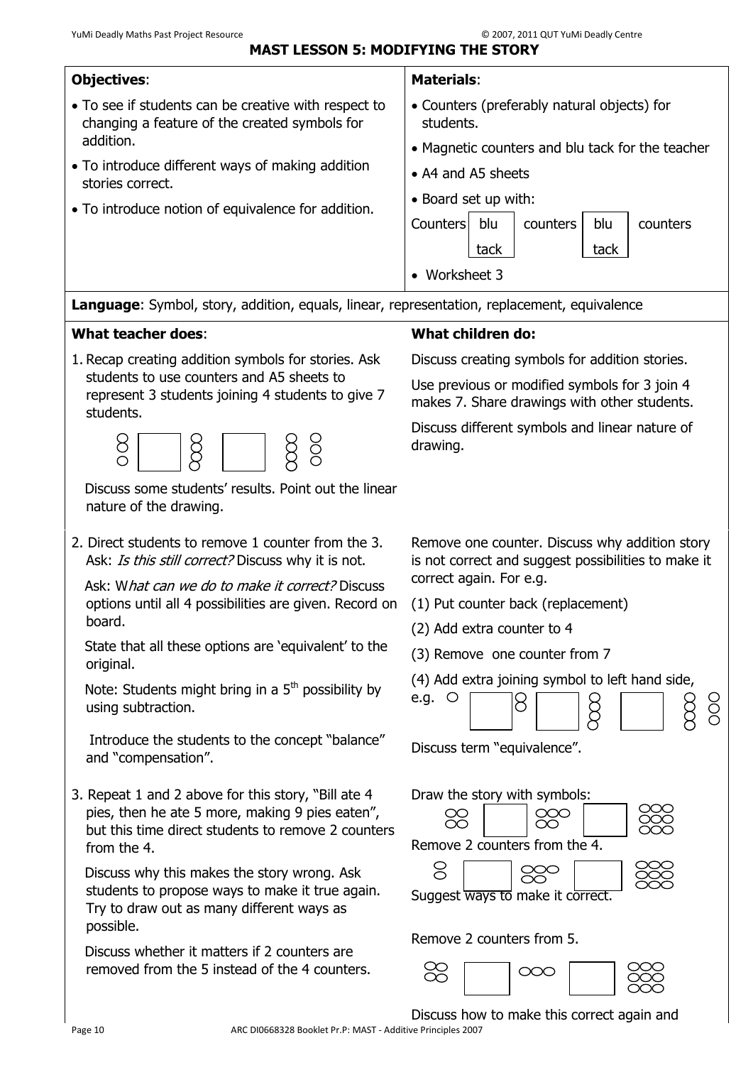<span id="page-13-0"></span>

| YuMi Deadly Maths Past Project Resource<br><b>MAST LESSON 5: MODIFYING THE STORY</b>                                                                                        | © 2007, 2011 QUT YuMi Deadly Centre                                                                            |
|-----------------------------------------------------------------------------------------------------------------------------------------------------------------------------|----------------------------------------------------------------------------------------------------------------|
| <b>Objectives:</b>                                                                                                                                                          | <b>Materials:</b>                                                                                              |
| • To see if students can be creative with respect to<br>changing a feature of the created symbols for<br>addition.                                                          | • Counters (preferably natural objects) for<br>students.                                                       |
| • To introduce different ways of making addition<br>stories correct.                                                                                                        | • Magnetic counters and blu tack for the teacher<br>• A4 and A5 sheets                                         |
| • To introduce notion of equivalence for addition.                                                                                                                          | • Board set up with:<br><b>Counters</b><br>blu<br>counters<br>blu<br>counters<br>tack<br>tack<br>• Worksheet 3 |
| <b>Language:</b> Symbol, story, addition, equals, linear, representation, replacement, equivalence                                                                          |                                                                                                                |
| <b>What teacher does:</b>                                                                                                                                                   | <b>What children do:</b>                                                                                       |
| 1. Recap creating addition symbols for stories. Ask                                                                                                                         | Discuss creating symbols for addition stories.                                                                 |
| students to use counters and A5 sheets to<br>represent 3 students joining 4 students to give 7<br>students.                                                                 | Use previous or modified symbols for 3 join 4<br>makes 7. Share drawings with other students.                  |
| 8<br>ğ<br>$\circ$                                                                                                                                                           | Discuss different symbols and linear nature of<br>drawing.                                                     |
| Discuss some students' results. Point out the linear<br>nature of the drawing.                                                                                              |                                                                                                                |
| 2. Direct students to remove 1 counter from the 3.<br>Ask: Is this still correct? Discuss why it is not.                                                                    | Remove one counter. Discuss why addition story<br>is not correct and suggest possibilities to make it          |
| Ask: What can we do to make it correct? Discuss<br>options until all 4 possibilities are given. Record on<br>board.                                                         | correct again. For e.g.<br>(1) Put counter back (replacement)<br>(2) Add extra counter to 4                    |
| State that all these options are 'equivalent' to the<br>original.                                                                                                           | (3) Remove one counter from 7                                                                                  |
| Note: Students might bring in a $5th$ possibility by<br>using subtraction.                                                                                                  | (4) Add extra joining symbol to left hand side,<br>e.g. $\circ$<br>8<br>$\frac{0}{0}$<br>ğ                     |
| Introduce the students to the concept "balance"<br>and "compensation".                                                                                                      | Discuss term "equivalence".                                                                                    |
| 3. Repeat 1 and 2 above for this story, "Bill ate 4<br>pies, then he ate 5 more, making 9 pies eaten",<br>but this time direct students to remove 2 counters<br>from the 4. | Draw the story with symbols:<br><u>ooo</u><br>88<br>Remove 2 counters from the 4.                              |
| Discuss why this makes the story wrong. Ask<br>students to propose ways to make it true again.<br>Try to draw out as many different ways as<br>possible.                    | 8<br>Suggest ways to make it correct.                                                                          |
| Discuss whether it matters if 2 counters are<br>removed from the 5 instead of the 4 counters.                                                                               | Remove 2 counters from 5.<br>88<br>$\infty$                                                                    |